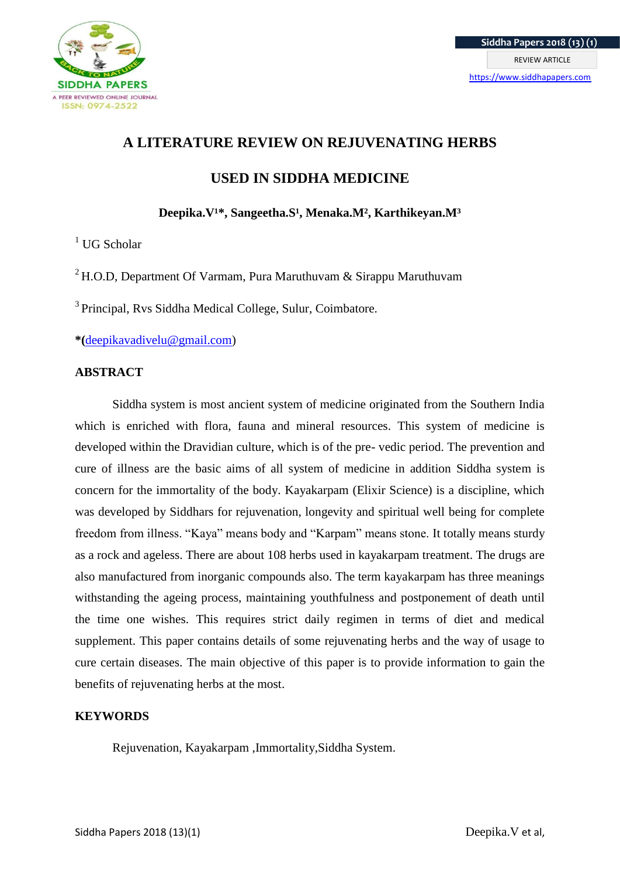

# **A LITERATURE REVIEW ON REJUVENATING HERBS**

**USED IN SIDDHA MEDICINE**

Deepika.V<sup>1\*</sup>, Sangeetha.S<sup>1</sup>, Menaka.M<sup>2</sup>, Karthikeyan.M<sup>3</sup>

 $1$  UG Scholar

<sup>2</sup> H.O.D, Department Of Varmam, Pura Maruthuvam & Sirappu Maruthuvam

<sup>3</sup> Principal, Rvs Siddha Medical College, Sulur, Coimbatore.

**\*(**[deepikavadivelu@gmail.com\)](mailto:deepikavadivelu@gmail.com)

### **ABSTRACT**

Siddha system is most ancient system of medicine originated from the Southern India which is enriched with flora, fauna and mineral resources. This system of medicine is developed within the Dravidian culture, which is of the pre- vedic period. The prevention and cure of illness are the basic aims of all system of medicine in addition Siddha system is concern for the immortality of the body. Kayakarpam (Elixir Science) is a discipline, which was developed by Siddhars for rejuvenation, longevity and spiritual well being for complete freedom from illness. "Kaya" means body and "Karpam" means stone. It totally means sturdy as a rock and ageless. There are about 108 herbs used in kayakarpam treatment. The drugs are also manufactured from inorganic compounds also. The term kayakarpam has three meanings withstanding the ageing process, maintaining youthfulness and postponement of death until the time one wishes. This requires strict daily regimen in terms of diet and medical supplement. This paper contains details of some rejuvenating herbs and the way of usage to cure certain diseases. The main objective of this paper is to provide information to gain the benefits of rejuvenating herbs at the most.

# **KEYWORDS**

Rejuvenation, Kayakarpam ,Immortality,Siddha System.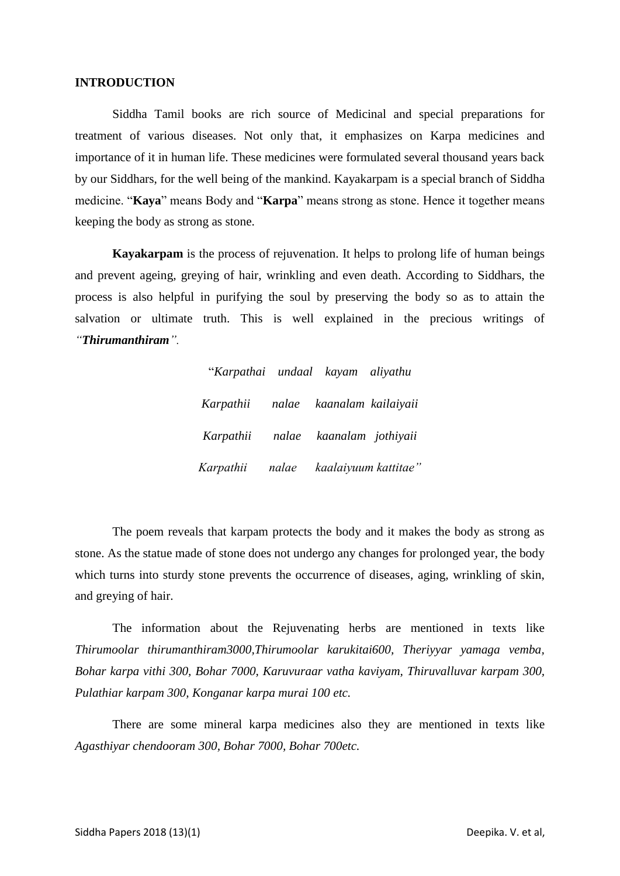#### **INTRODUCTION**

Siddha Tamil books are rich source of Medicinal and special preparations for treatment of various diseases. Not only that, it emphasizes on Karpa medicines and importance of it in human life. These medicines were formulated several thousand years back by our Siddhars, for the well being of the mankind. Kayakarpam is a special branch of Siddha medicine. "**Kaya**" means Body and "**Karpa**" means strong as stone. Hence it together means keeping the body as strong as stone.

**Kayakarpam** is the process of rejuvenation. It helps to prolong life of human beings and prevent ageing, greying of hair, wrinkling and even death. According to Siddhars, the process is also helpful in purifying the soul by preserving the body so as to attain the salvation or ultimate truth. This is well explained in the precious writings of *"Thirumanthiram".*

> "*Karpathai undaal kayam aliyathu Karpathii nalae kaanalam kailaiyaii Karpathii nalae kaanalam jothiyaii Karpathii nalae kaalaiyuum kattitae"*

The poem reveals that karpam protects the body and it makes the body as strong as stone. As the statue made of stone does not undergo any changes for prolonged year, the body which turns into sturdy stone prevents the occurrence of diseases, aging, wrinkling of skin, and greying of hair.

The information about the Rejuvenating herbs are mentioned in texts like *Thirumoolar thirumanthiram3000,Thirumoolar karukitai600, Theriyyar yamaga vemba, Bohar karpa vithi 300, Bohar 7000, Karuvuraar vatha kaviyam, Thiruvalluvar karpam 300, Pulathiar karpam 300, Konganar karpa murai 100 etc.*

There are some mineral karpa medicines also they are mentioned in texts like *Agasthiyar chendooram 300, Bohar 7000, Bohar 700etc.*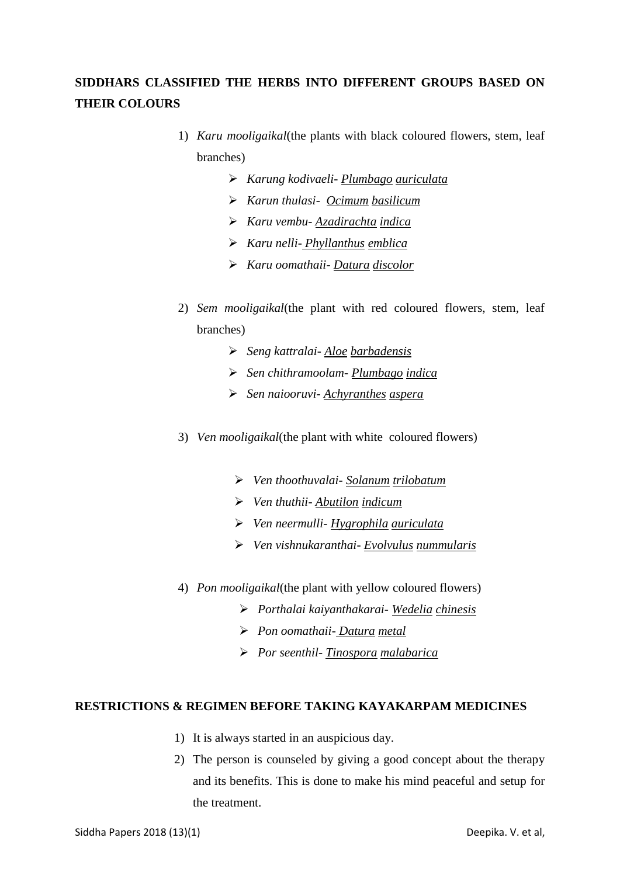# **SIDDHARS CLASSIFIED THE HERBS INTO DIFFERENT GROUPS BASED ON THEIR COLOURS**

- 1) *Karu mooligaikal*(the plants with black coloured flowers, stem, leaf branches)
	- *Karung kodivaeli- Plumbago auriculata*
	- *Karun thulasi- Ocimum basilicum*
	- *Karu vembu- Azadirachta indica*
	- *Karu nelli- Phyllanthus emblica*
	- *Karu oomathaii Datura discolor*
- 2) *Sem mooligaikal*(the plant with red coloured flowers, stem, leaf branches)
	- *Seng kattralai- Aloe barbadensis*
	- *Sen chithramoolam- Plumbago indica*
	- *Sen naiooruvi Achyranthes aspera*
- 3) *Ven mooligaikal*(the plant with white coloured flowers)
	- *Ven thoothuvalai- Solanum trilobatum*
	- *Ven thuthii- Abutilon indicum*
	- *Ven neermulli- Hygrophila auriculata*
	- *Ven vishnukaranthai Evolvulus nummularis*
- 4) *Pon mooligaikal*(the plant with yellow coloured flowers)
	- *Porthalai kaiyanthakarai- Wedelia chinesis*
	- *Pon oomathaii- Datura metal*
	- *Por seenthil- Tinospora malabarica*

### **RESTRICTIONS & REGIMEN BEFORE TAKING KAYAKARPAM MEDICINES**

- 1) It is always started in an auspicious day.
- 2) The person is counseled by giving a good concept about the therapy and its benefits. This is done to make his mind peaceful and setup for the treatment.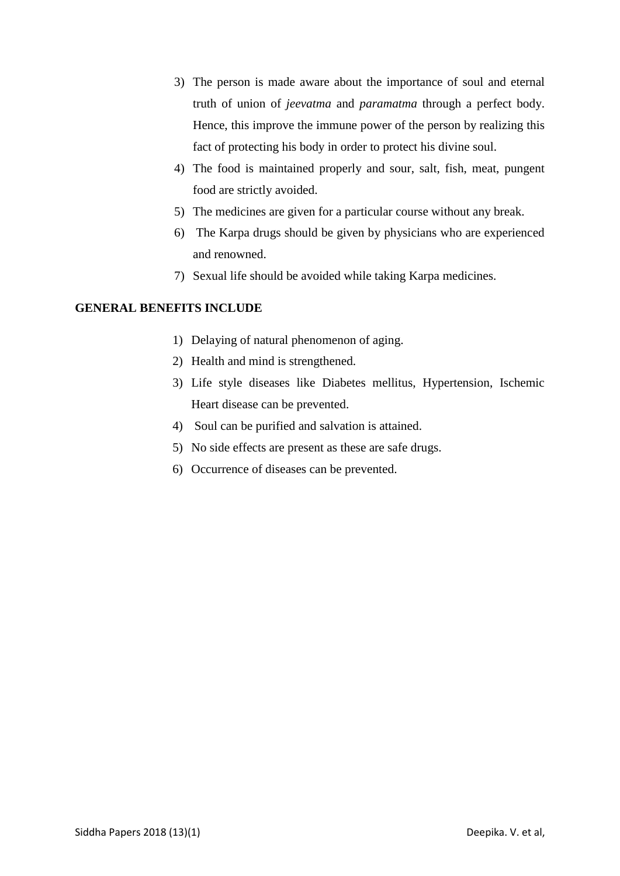- 3) The person is made aware about the importance of soul and eternal truth of union of *jeevatma* and *paramatma* through a perfect body. Hence, this improve the immune power of the person by realizing this fact of protecting his body in order to protect his divine soul.
- 4) The food is maintained properly and sour, salt, fish, meat, pungent food are strictly avoided.
- 5) The medicines are given for a particular course without any break.
- 6) The Karpa drugs should be given by physicians who are experienced and renowned.
- 7) Sexual life should be avoided while taking Karpa medicines.

## **GENERAL BENEFITS INCLUDE**

- 1) Delaying of natural phenomenon of aging.
- 2) Health and mind is strengthened.
- 3) Life style diseases like Diabetes mellitus, Hypertension, Ischemic Heart disease can be prevented.
- 4) Soul can be purified and salvation is attained.
- 5) No side effects are present as these are safe drugs.
- 6) Occurrence of diseases can be prevented.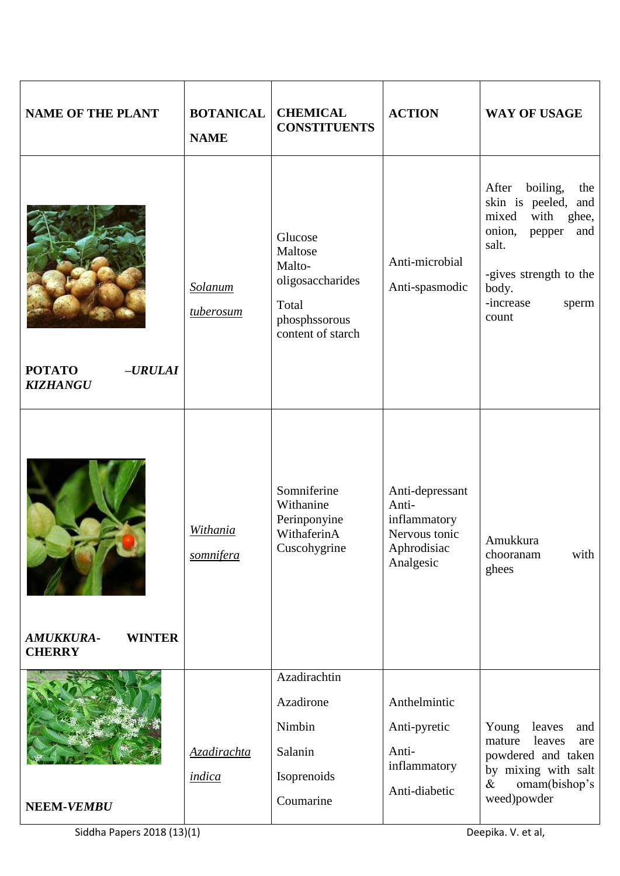| <b>NAME OF THE PLANT</b>                           | <b>BOTANICAL</b><br><b>NAME</b>     | <b>CHEMICAL</b><br><b>CONSTITUENTS</b>                                                          | <b>ACTION</b>                                                                         | <b>WAY OF USAGE</b>                                                                                                                                                                |
|----------------------------------------------------|-------------------------------------|-------------------------------------------------------------------------------------------------|---------------------------------------------------------------------------------------|------------------------------------------------------------------------------------------------------------------------------------------------------------------------------------|
| <b>POTATO</b><br>$-URULAI$<br><b>KIZHANGU</b>      | Solanum<br>tuberosum                | Glucose<br>Maltose<br>Malto-<br>oligosaccharides<br>Total<br>phosphssorous<br>content of starch | Anti-microbial<br>Anti-spasmodic                                                      | boiling,<br>After<br>the<br>skin is peeled,<br>and<br>mixed<br>with<br>ghee,<br>onion,<br>and<br>pepper<br>salt.<br>-gives strength to the<br>body.<br>-increase<br>sperm<br>count |
| <b>AMUKKURA-</b><br><b>WINTER</b><br><b>CHERRY</b> | Withania<br>somnifera               | Somniferine<br>Withanine<br>Perinponyine<br>WithaferinA<br>Cuscohygrine                         | Anti-depressant<br>Anti-<br>inflammatory<br>Nervous tonic<br>Aphrodisiac<br>Analgesic | Amukkura<br>chooranam<br>with<br>ghees                                                                                                                                             |
| NEEM-VEMBU                                         | <b>Azadirachta</b><br><i>indica</i> | Azadirachtin<br>Azadirone<br>Nimbin<br>Salanin<br>Isoprenoids<br>Coumarine                      | Anthelmintic<br>Anti-pyretic<br>Anti-<br>inflammatory<br>Anti-diabetic                | Young<br>leaves<br>and<br>mature<br>leaves<br>are<br>powdered and taken<br>by mixing with salt<br>$\&$<br>omam(bishop's<br>weed)powder                                             |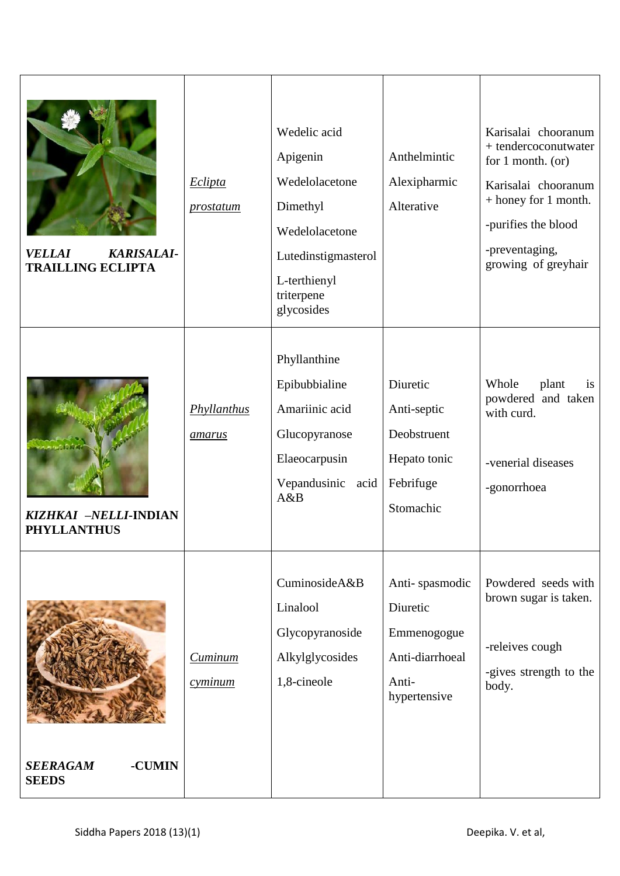| <b>KARISALAI-</b><br><b>VELLAI</b><br><b>TRAILLING ECLIPTA</b> | Eclipta<br><i>prostatum</i>         | Wedelic acid<br>Apigenin<br>Wedelolacetone<br>Dimethyl<br>Wedelolacetone<br>Lutedinstigmasterol<br>L-terthienyl<br>triterpene<br>glycosides | Anthelmintic<br>Alexipharmic<br>Alterative                                            | Karisalai chooranum<br>+ tendercoconutwater<br>for $1$ month. (or)<br>Karisalai chooranum<br>$+$ honey for 1 month.<br>-purifies the blood<br>-preventaging,<br>growing of greyhair |
|----------------------------------------------------------------|-------------------------------------|---------------------------------------------------------------------------------------------------------------------------------------------|---------------------------------------------------------------------------------------|-------------------------------------------------------------------------------------------------------------------------------------------------------------------------------------|
| 网络女子<br>KIZHKAI -NELLI-INDIAN<br><b>PHYLLANTHUS</b>            | Phyllanthus<br>amarus               | Phyllanthine<br>Epibubbialine<br>Amariinic acid<br>Glucopyranose<br>Elaeocarpusin<br>Vepandusinic acid<br>A&B                               | Diuretic<br>Anti-septic<br>Deobstruent<br>Hepato tonic<br>Febrifuge<br>Stomachic      | Whole<br>plant<br>is<br>powdered and taken<br>with curd.<br>-venerial diseases<br>-gonorrhoea                                                                                       |
| -CUMIN<br><b>SEERAGAM</b><br><b>SEEDS</b>                      | <b>Cuminum</b><br>$c$ <i>yminum</i> | CuminosideA&B<br>Linalool<br>Glycopyranoside<br>Alkylglycosides<br>1,8-cineole                                                              | Anti-spasmodic<br>Diuretic<br>Emmenogogue<br>Anti-diarrhoeal<br>Anti-<br>hypertensive | Powdered seeds with<br>brown sugar is taken.<br>-releives cough<br>-gives strength to the<br>body.                                                                                  |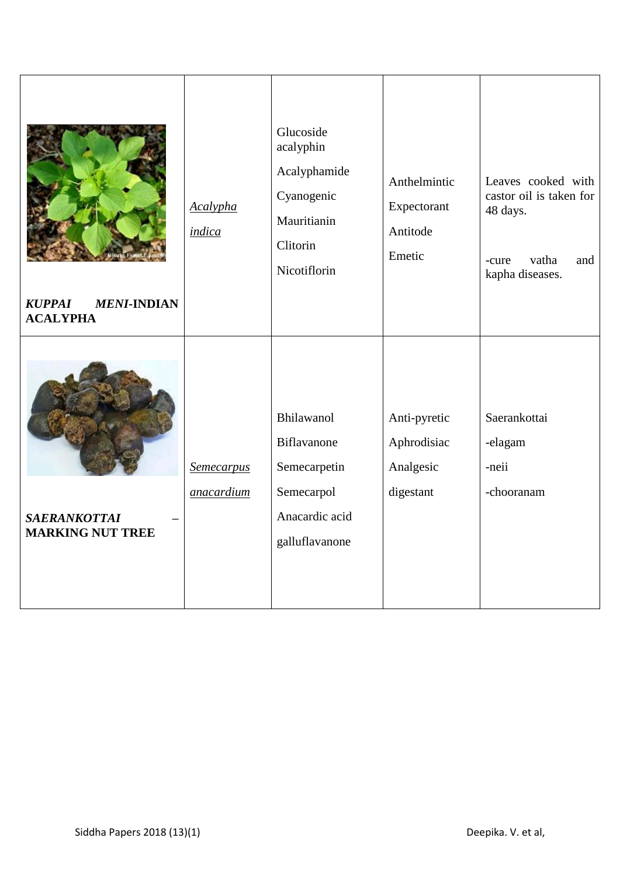| <b>MENI-INDIAN</b><br><b>KUPPAI</b><br><b>ACALYPHA</b> | <b>Acalypha</b><br><i>indica</i>       | Glucoside<br>acalyphin<br>Acalyphamide<br>Cyanogenic<br>Mauritianin<br>Clitorin<br>Nicotiflorin    | Anthelmintic<br>Expectorant<br>Antitode<br>Emetic     | Leaves cooked with<br>castor oil is taken for<br>48 days.<br>vatha<br>and<br>-cure<br>kapha diseases. |
|--------------------------------------------------------|----------------------------------------|----------------------------------------------------------------------------------------------------|-------------------------------------------------------|-------------------------------------------------------------------------------------------------------|
| SAERANKOTTAI<br><b>MARKING NUT TREE</b>                | <b>Semecarpus</b><br><i>anacardium</i> | Bhilawanol<br><b>Biflavanone</b><br>Semecarpetin<br>Semecarpol<br>Anacardic acid<br>galluflavanone | Anti-pyretic<br>Aphrodisiac<br>Analgesic<br>digestant | Saerankottai<br>-elagam<br>-neii<br>-chooranam                                                        |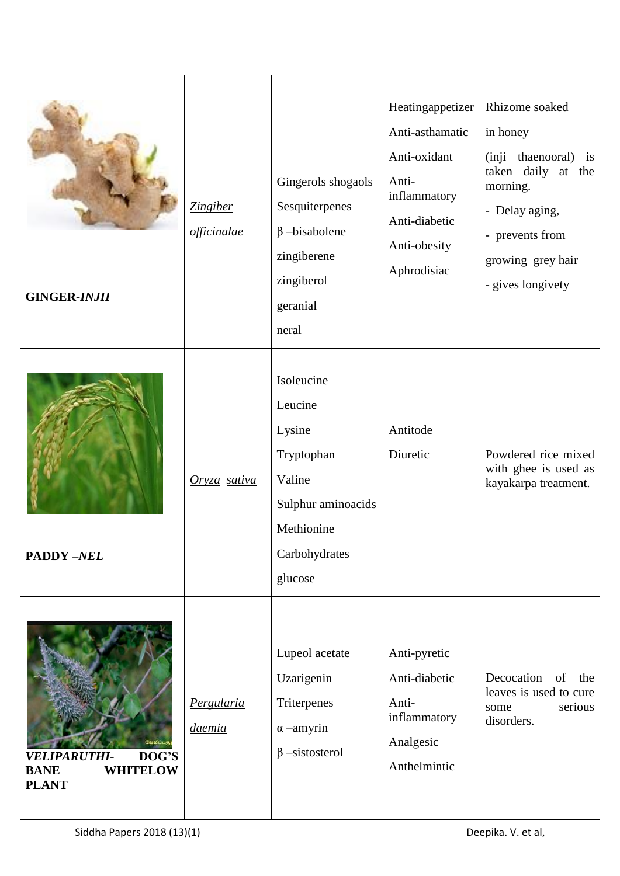| <b>GINGER-INJII</b>                                                                              | <b>Zingiber</b><br><i>officinalae</i> | Gingerols shogaols<br>Sesquiterpenes<br>$\beta$ -bisabolene<br>zingiberene<br>zingiberol<br>geranial<br>neral           | Heatingappetizer<br>Anti-asthamatic<br>Anti-oxidant<br>Anti-<br>inflammatory<br>Anti-diabetic<br>Anti-obesity<br>Aphrodisiac | Rhizome soaked<br>in honey<br>(i <sub>nji</sub> )<br>thaenooral) is<br>taken daily at the<br>morning.<br>- Delay aging,<br>- prevents from<br>growing grey hair<br>- gives longivety |
|--------------------------------------------------------------------------------------------------|---------------------------------------|-------------------------------------------------------------------------------------------------------------------------|------------------------------------------------------------------------------------------------------------------------------|--------------------------------------------------------------------------------------------------------------------------------------------------------------------------------------|
| <b>PADDY -NEL</b>                                                                                | Oryza sativa                          | Isoleucine<br>Leucine<br>Lysine<br>Tryptophan<br>Valine<br>Sulphur aminoacids<br>Methionine<br>Carbohydrates<br>glucose | Antitode<br>Diuretic                                                                                                         | Powdered rice mixed<br>with ghee is used as<br>kayakarpa treatment.                                                                                                                  |
| .<br>வேலிப்பரு<br>DOG'S<br><b>VELIPARUTHI-</b><br><b>BANE</b><br><b>WHITELOW</b><br><b>PLANT</b> | Pergularia<br><i>daemia</i>           | Lupeol acetate<br>Uzarigenin<br>Triterpenes<br>$\alpha$ -amyrin<br>$\beta$ -sistosterol                                 | Anti-pyretic<br>Anti-diabetic<br>Anti-<br>inflammatory<br>Analgesic<br>Anthelmintic                                          | Decocation<br>of<br>the<br>leaves is used to cure<br>serious<br>some<br>disorders.                                                                                                   |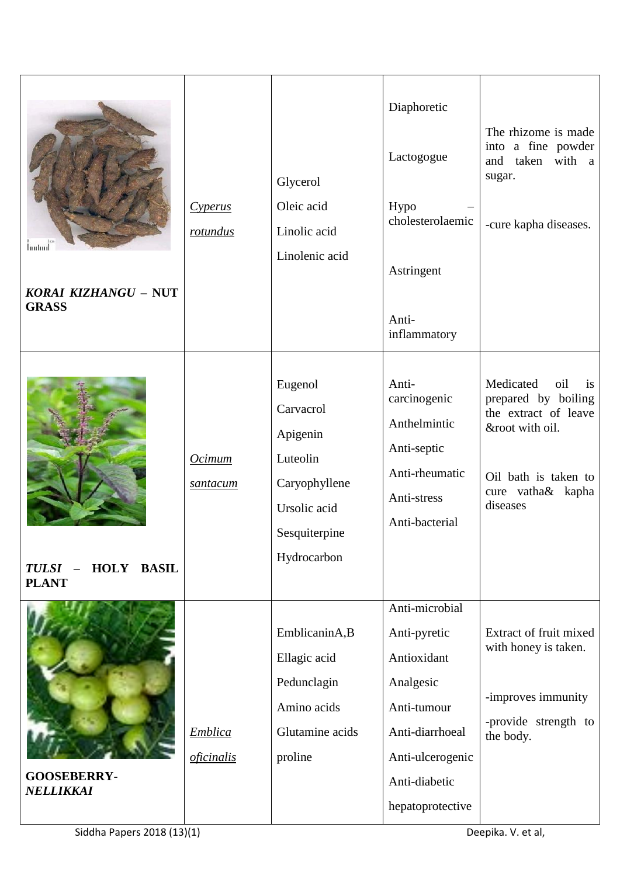| huduul<br>KORAI KIZHANGU - NUT<br><b>GRASS</b>    | <b>Cyperus</b><br><u>rotundus</u>   | Glycerol<br>Oleic acid<br>Linolic acid<br>Linolenic acid                                                      | Diaphoretic<br>Lactogogue<br>Hypo<br>cholesterolaemic<br>Astringent<br>Anti-<br>inflammatory                                                          | The rhizome is made<br>into a fine powder<br>and<br>taken<br>with a<br>sugar.<br>-cure kapha diseases.                                            |
|---------------------------------------------------|-------------------------------------|---------------------------------------------------------------------------------------------------------------|-------------------------------------------------------------------------------------------------------------------------------------------------------|---------------------------------------------------------------------------------------------------------------------------------------------------|
| <b>HOLY BASIL</b><br><b>TULSI</b><br><b>PLANT</b> | <b>Ocimum</b><br>santacum           | Eugenol<br>Carvacrol<br>Apigenin<br>Luteolin<br>Caryophyllene<br>Ursolic acid<br>Sesquiterpine<br>Hydrocarbon | Anti-<br>carcinogenic<br>Anthelmintic<br>Anti-septic<br>Anti-rheumatic<br>Anti-stress<br>Anti-bacterial                                               | Medicated<br>oil<br>is<br>prepared by boiling<br>the extract of leave<br>&root with oil.<br>Oil bath is taken to<br>cure vatha& kapha<br>diseases |
| <b>GOOSEBERRY-</b><br>NELLIKKAI                   | <b>Emblica</b><br><i>oficinalis</i> | EmblicaninA,B<br>Ellagic acid<br>Pedunclagin<br>Amino acids<br>Glutamine acids<br>proline                     | Anti-microbial<br>Anti-pyretic<br>Antioxidant<br>Analgesic<br>Anti-tumour<br>Anti-diarrhoeal<br>Anti-ulcerogenic<br>Anti-diabetic<br>hepatoprotective | Extract of fruit mixed<br>with honey is taken.<br>-improves immunity<br>-provide strength to<br>the body.                                         |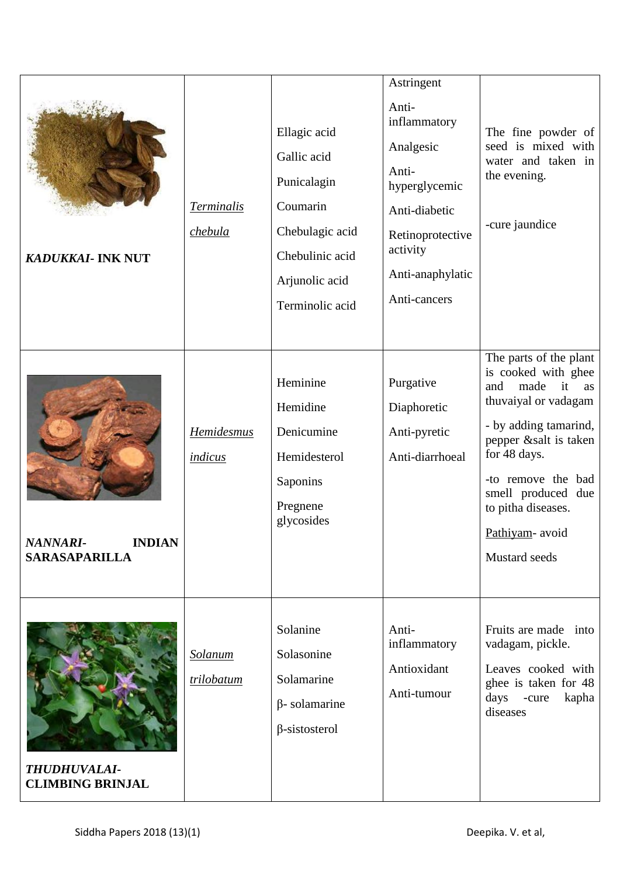| <b>KADUKKAI- INK NUT</b>                                 | <b>Terminalis</b><br>chebula | Ellagic acid<br>Gallic acid<br>Punicalagin<br>Coumarin<br>Chebulagic acid<br>Chebulinic acid<br>Arjunolic acid<br>Terminolic acid | Astringent<br>Anti-<br>inflammatory<br>Analgesic<br>Anti-<br>hyperglycemic<br>Anti-diabetic<br>Retinoprotective<br>activity<br>Anti-anaphylatic<br>Anti-cancers | The fine powder of<br>seed is mixed with<br>water and taken in<br>the evening.<br>-cure jaundice                                                                                                                                                                         |
|----------------------------------------------------------|------------------------------|-----------------------------------------------------------------------------------------------------------------------------------|-----------------------------------------------------------------------------------------------------------------------------------------------------------------|--------------------------------------------------------------------------------------------------------------------------------------------------------------------------------------------------------------------------------------------------------------------------|
| <i>NANNARI-</i><br><b>INDIAN</b><br><b>SARASAPARILLA</b> | Hemidesmus<br>indicus        | Heminine<br>Hemidine<br>Denicumine<br>Hemidesterol<br>Saponins<br>Pregnene<br>glycosides                                          | Purgative<br>Diaphoretic<br>Anti-pyretic<br>Anti-diarrhoeal                                                                                                     | The parts of the plant<br>is cooked with ghee<br>it<br>and<br>made<br>as<br>thuvaiyal or vadagam<br>- by adding tamarind,<br>pepper &salt is taken<br>for 48 days.<br>-to remove the bad<br>smell produced due<br>to pitha diseases.<br>Pathiyam- avoid<br>Mustard seeds |
| <b>THUDHUVALAI-</b><br><b>CLIMBING BRINJAL</b>           | <b>Solanum</b><br>trilobatum | Solanine<br>Solasonine<br>Solamarine<br>$\beta$ - solamarine<br>$\beta$ -sistosterol                                              | Anti-<br>inflammatory<br>Antioxidant<br>Anti-tumour                                                                                                             | Fruits are made into<br>vadagam, pickle.<br>Leaves cooked with<br>ghee is taken for 48<br>days -cure<br>kapha<br>diseases                                                                                                                                                |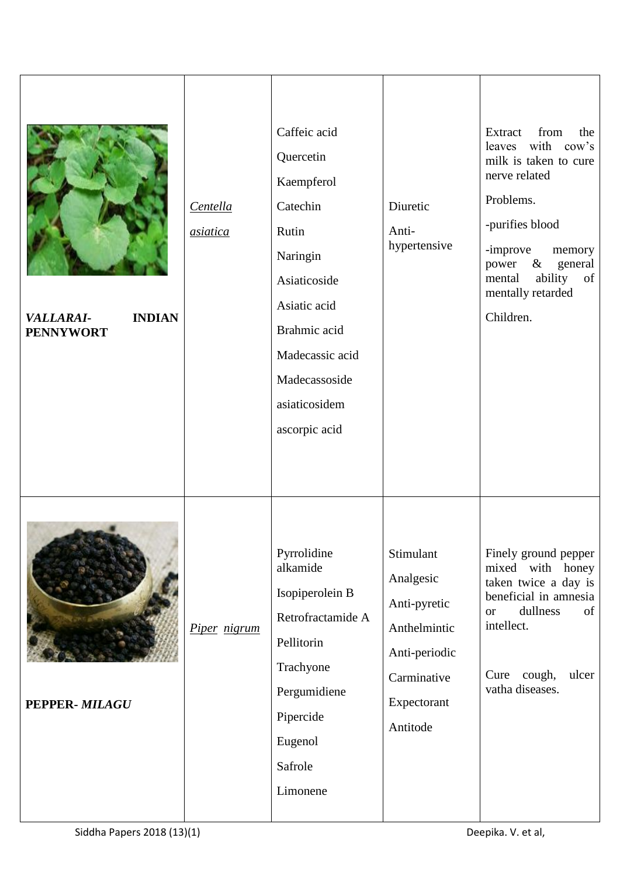| VALLARAI-<br><b>INDIAN</b><br><b>PENNYWORT</b> | Centella<br>asiatica | Caffeic acid<br>Quercetin<br>Kaempferol<br>Catechin<br>Rutin<br>Naringin<br>Asiaticoside<br>Asiatic acid<br>Brahmic acid<br>Madecassic acid<br>Madecassoside<br>asiaticosidem<br>ascorpic acid | Diuretic<br>Anti-<br>hypertensive                                                                                 | from<br>Extract<br>the<br>leaves with cow's<br>milk is taken to cure<br>nerve related<br>Problems.<br>-purifies blood<br>-improve<br>memory<br>$\&$<br>general<br>power<br>ability<br>of<br>mental<br>mentally retarded<br>Children. |
|------------------------------------------------|----------------------|------------------------------------------------------------------------------------------------------------------------------------------------------------------------------------------------|-------------------------------------------------------------------------------------------------------------------|--------------------------------------------------------------------------------------------------------------------------------------------------------------------------------------------------------------------------------------|
| PEPPER-MILAGU                                  | Piper nigrum         | Pyrrolidine<br>alkamide<br>Isopiperolein B<br>Retrofractamide A<br>Pellitorin<br>Trachyone<br>Pergumidiene<br>Pipercide<br>Eugenol<br>Safrole<br>Limonene                                      | Stimulant<br>Analgesic<br>Anti-pyretic<br>Anthelmintic<br>Anti-periodic<br>Carminative<br>Expectorant<br>Antitode | Finely ground pepper<br>mixed with honey<br>taken twice a day is<br>beneficial in amnesia<br>dullness<br>of<br><b>or</b><br>intellect.<br>cough,<br>ulcer<br>Cure<br>vatha diseases.                                                 |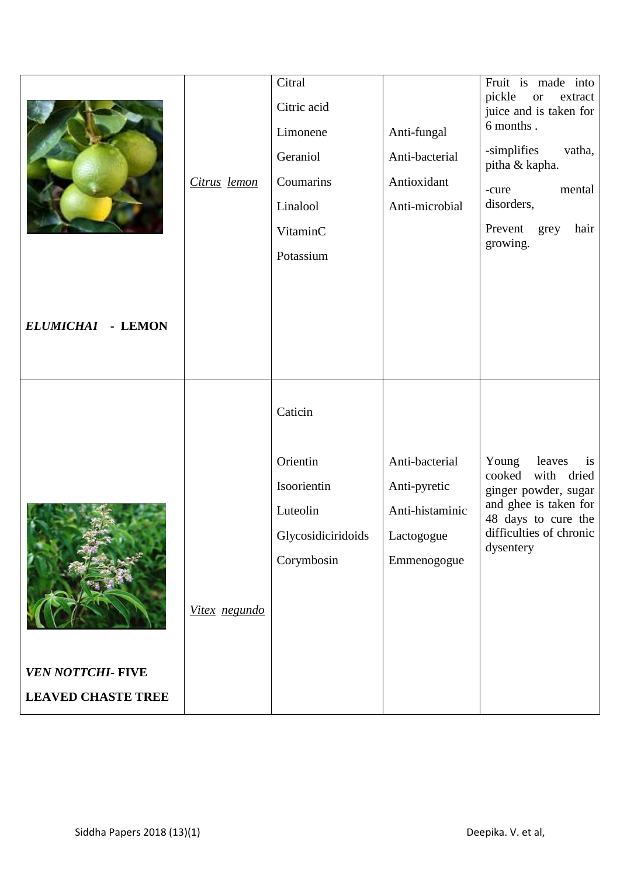| <b>ELUMICHAI - LEMON</b>                              | Citrus lemon  | Citral<br>Citric acid<br>Limonene<br>Geraniol<br>Coumarins<br>Linalool<br>VitaminC<br>Potassium | Anti-fungal<br>Anti-bacterial<br>Antioxidant<br>Anti-microbial                 | Fruit is made into<br>pickle<br><b>or</b><br>extract<br>juice and is taken for<br>6 months.<br>-simplifies<br>vatha,<br>pitha & kapha.<br>mental<br>-cure<br>disorders,<br>Prevent<br>grey<br>hair<br>growing. |
|-------------------------------------------------------|---------------|-------------------------------------------------------------------------------------------------|--------------------------------------------------------------------------------|----------------------------------------------------------------------------------------------------------------------------------------------------------------------------------------------------------------|
|                                                       |               |                                                                                                 |                                                                                |                                                                                                                                                                                                                |
|                                                       |               | Caticin                                                                                         |                                                                                |                                                                                                                                                                                                                |
|                                                       | Vitex negundo | Orientin<br>Isoorientin<br>Luteolin<br>Glycosidiciridoids<br>Corymbosin                         | Anti-bacterial<br>Anti-pyretic<br>Anti-histaminic<br>Lactogogue<br>Emmenogogue | Young<br>leaves<br>is<br>cooked with dried<br>ginger powder, sugar<br>and ghee is taken for<br>48 days to cure the<br>difficulties of chronic<br>dysentery                                                     |
| <b>VEN NOTTCHI- FIVE</b><br><b>LEAVED CHASTE TREE</b> |               |                                                                                                 |                                                                                |                                                                                                                                                                                                                |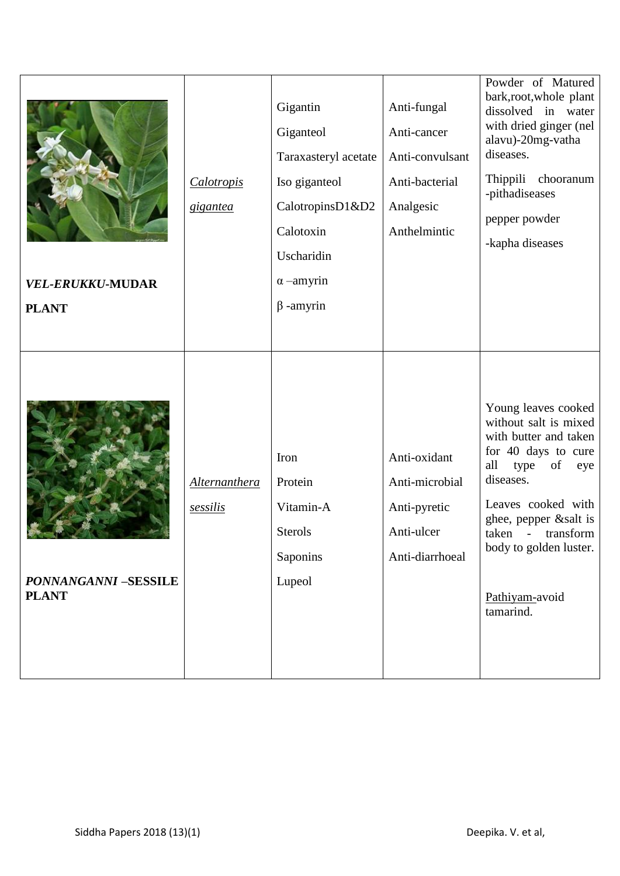| <b>VEL-ERUKKU-MUDAR</b><br><b>PLANT</b>     | Calotropis<br>gigantea           | Gigantin<br>Giganteol<br>Taraxasteryl acetate<br>Iso giganteol<br>CalotropinsD1&D2<br>Calotoxin<br>Uscharidin<br>$\alpha$ -amyrin<br>$\beta$ -amyrin | Anti-fungal<br>Anti-cancer<br>Anti-convulsant<br>Anti-bacterial<br>Analgesic<br>Anthelmintic | Powder of Matured<br>bark, root, whole plant<br>dissolved in water<br>with dried ginger (nel<br>alavu)-20mg-vatha<br>diseases.<br>Thippili chooranum<br>-pithadiseases<br>pepper powder<br>-kapha diseases                                                                               |
|---------------------------------------------|----------------------------------|------------------------------------------------------------------------------------------------------------------------------------------------------|----------------------------------------------------------------------------------------------|------------------------------------------------------------------------------------------------------------------------------------------------------------------------------------------------------------------------------------------------------------------------------------------|
| <b>PONNANGANNI -SESSILE</b><br><b>PLANT</b> | <b>Alternanthera</b><br>sessilis | Iron<br>Protein<br>Vitamin-A<br><b>Sterols</b><br>Saponins<br>Lupeol                                                                                 | Anti-oxidant<br>Anti-microbial<br>Anti-pyretic<br>Anti-ulcer<br>Anti-diarrhoeal              | Young leaves cooked<br>without salt is mixed<br>with butter and taken<br>for 40 days to cure<br>all type<br>of<br>eye<br>diseases.<br>Leaves cooked with<br>ghee, pepper & salt is<br>transform<br>taken<br>$\omega_{\rm{max}}$<br>body to golden luster.<br>Pathiyam-avoid<br>tamarind. |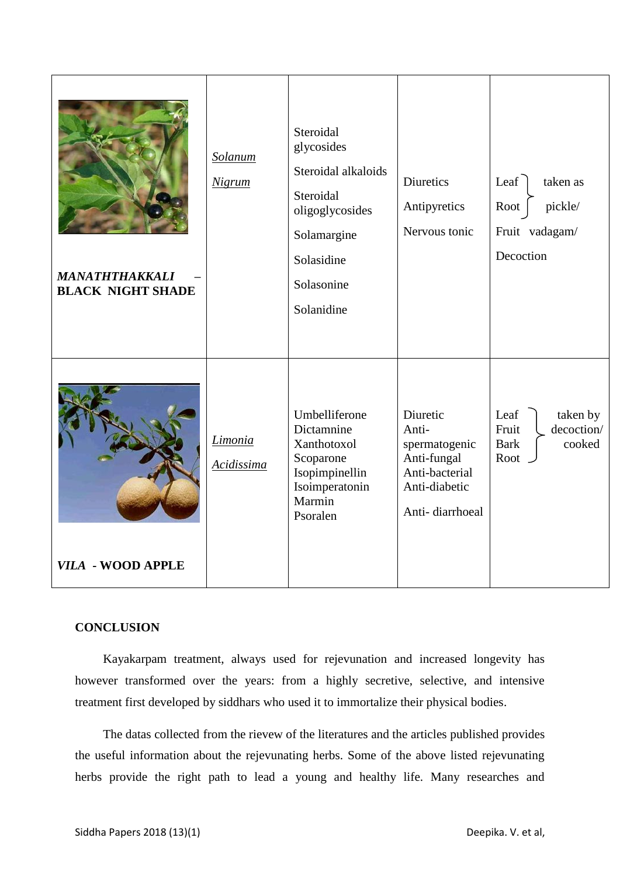| <b>MANATHTHAKKALI</b><br><b>BLACK NIGHT SHADE</b> | Solanum<br>Nigrum                   | Steroidal<br>glycosides<br>Steroidal alkaloids<br>Steroidal<br>oligoglycosides<br>Solamargine<br>Solasidine<br>Solasonine<br>Solanidine | <b>Diuretics</b><br>Antipyretics<br>Nervous tonic                                                       | Leaf<br>taken as<br>pickle/<br>Root<br>Fruit vadagam/<br>Decoction         |
|---------------------------------------------------|-------------------------------------|-----------------------------------------------------------------------------------------------------------------------------------------|---------------------------------------------------------------------------------------------------------|----------------------------------------------------------------------------|
| <b>VILA - WOOD APPLE</b>                          | <i>Limonia</i><br><b>Acidissima</b> | Umbelliferone<br>Dictamnine<br>Xanthotoxol<br>Scoparone<br>Isopimpinellin<br>Isoimperatonin<br>Marmin<br>Psoralen                       | Diuretic<br>Anti-<br>spermatogenic<br>Anti-fungal<br>Anti-bacterial<br>Anti-diabetic<br>Anti-diarrhoeal | Leaf<br>taken by<br>decoction/<br>Fruit<br>cooked<br><b>Bark</b><br>Root _ |
|                                                   |                                     |                                                                                                                                         |                                                                                                         |                                                                            |

### **CONCLUSION**

Kayakarpam treatment, always used for rejevunation and increased longevity has however transformed over the years: from a highly secretive, selective, and intensive treatment first developed by siddhars who used it to immortalize their physical bodies.

 The datas collected from the rievew of the literatures and the articles published provides the useful information about the rejevunating herbs. Some of the above listed rejevunating herbs provide the right path to lead a young and healthy life. Many researches and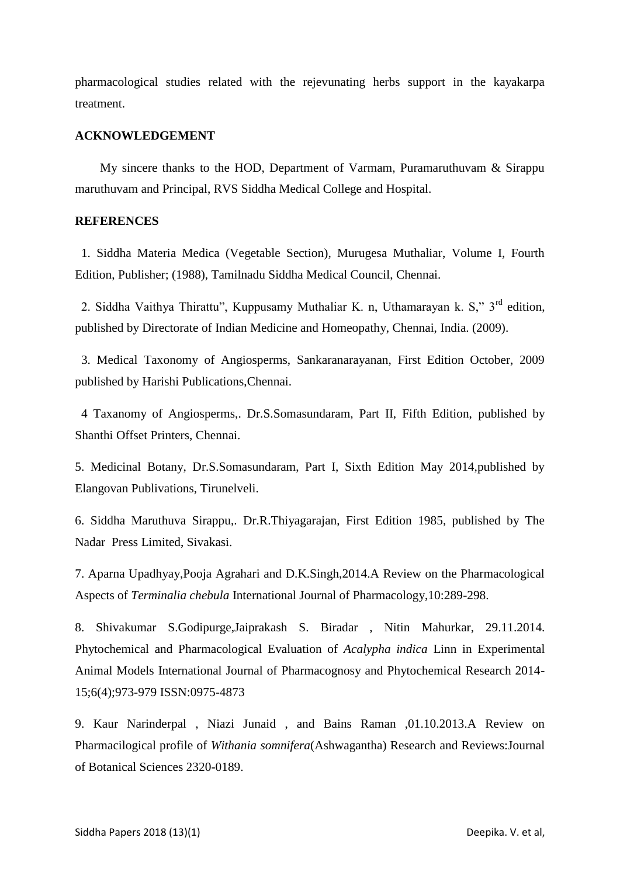pharmacological studies related with the rejevunating herbs support in the kayakarpa treatment.

#### **ACKNOWLEDGEMENT**

 My sincere thanks to the HOD, Department of Varmam, Puramaruthuvam & Sirappu maruthuvam and Principal, RVS Siddha Medical College and Hospital.

#### **REFERENCES**

1. Siddha Materia Medica (Vegetable Section), Murugesa Muthaliar, Volume I, Fourth Edition, Publisher; (1988), Tamilnadu Siddha Medical Council, Chennai.

2. Siddha Vaithya Thirattu", Kuppusamy Muthaliar K. n, Uthamaravan k. S." 3<sup>rd</sup> edition. published by Directorate of Indian Medicine and Homeopathy, Chennai, India. (2009).

 3. Medical Taxonomy of Angiosperms, Sankaranarayanan, First Edition October, 2009 published by Harishi Publications,Chennai.

 4 Taxanomy of Angiosperms,. Dr.S.Somasundaram, Part II, Fifth Edition, published by Shanthi Offset Printers, Chennai.

5. Medicinal Botany, Dr.S.Somasundaram, Part I, Sixth Edition May 2014,published by Elangovan Publivations, Tirunelveli.

6. Siddha Maruthuva Sirappu,. Dr.R.Thiyagarajan, First Edition 1985, published by The Nadar Press Limited, Sivakasi.

7. Aparna Upadhyay,Pooja Agrahari and D.K.Singh,2014.A Review on the Pharmacological Aspects of *Terminalia chebula* International Journal of Pharmacology,10:289-298.

8. Shivakumar S.Godipurge,Jaiprakash S. Biradar , Nitin Mahurkar, 29.11.2014. Phytochemical and Pharmacological Evaluation of *Acalypha indica* Linn in Experimental Animal Models International Journal of Pharmacognosy and Phytochemical Research 2014- 15;6(4);973-979 ISSN:0975-4873

9. Kaur Narinderpal , Niazi Junaid , and Bains Raman ,01.10.2013.A Review on Pharmacilogical profile of *Withania somnifera*(Ashwagantha) Research and Reviews:Journal of Botanical Sciences 2320-0189.